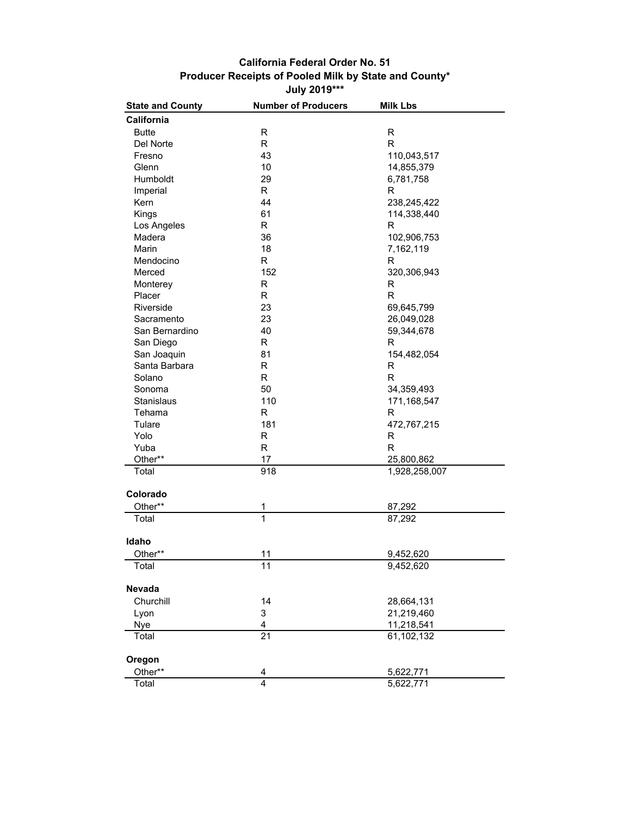## **July 2019\*\*\* Producer Receipts of Pooled Milk by State and County\* California Federal Order No. 51**

| <b>State and County</b> | <b>Number of Producers</b> | <b>Milk Lbs</b> |
|-------------------------|----------------------------|-----------------|
| California              |                            |                 |
| <b>Butte</b>            | R                          | R               |
| Del Norte               | $\mathsf R$                | R               |
| Fresno                  | 43                         | 110,043,517     |
| Glenn                   | 10                         | 14,855,379      |
| Humboldt                | 29                         | 6,781,758       |
| Imperial                | R                          | R               |
| Kern                    | 44                         | 238,245,422     |
| Kings                   | 61                         | 114,338,440     |
| Los Angeles             | R.                         | R               |
| Madera                  | 36                         | 102,906,753     |
| Marin                   | 18                         | 7,162,119       |
| Mendocino               | R                          | R               |
| Merced                  | 152                        | 320,306,943     |
| Monterey                | R                          | R               |
| Placer                  | R                          | $\mathsf{R}$    |
| Riverside               | 23                         | 69,645,799      |
| Sacramento              | 23                         | 26,049,028      |
| San Bernardino          | 40                         | 59,344,678      |
| San Diego               | R                          | R               |
| San Joaquin             | 81                         | 154,482,054     |
| Santa Barbara           | $\mathsf R$                | R               |
| Solano                  | $\mathsf R$                | $\mathsf{R}$    |
| Sonoma                  | 50                         | 34,359,493      |
| Stanislaus              | 110                        | 171,168,547     |
| Tehama                  | R                          | $\mathsf{R}$    |
| Tulare                  | 181                        | 472,767,215     |
| Yolo                    | R                          | R               |
| Yuba                    | R                          | $\mathsf{R}$    |
| Other**                 | 17                         | 25,800,862      |
| Total                   | 918                        | 1,928,258,007   |
| Colorado                |                            |                 |
| Other**                 | 1                          | 87,292          |
| Total                   | 1                          | 87,292          |
| Idaho                   |                            |                 |
| Other**                 | 11                         | 9,452,620       |
| Total                   | 11                         | 9,452,620       |
| Nevada                  |                            |                 |
| Churchill               | 14                         | 28,664,131      |
| Lyon                    | 3                          | 21,219,460      |
| <b>Nye</b>              | 4                          | 11,218,541      |
| Total                   | 21                         | 61,102,132      |
| Oregon                  |                            |                 |
| Other**                 | 4                          | 5,622,771       |
| Total                   | $\overline{4}$             | 5,622,771       |